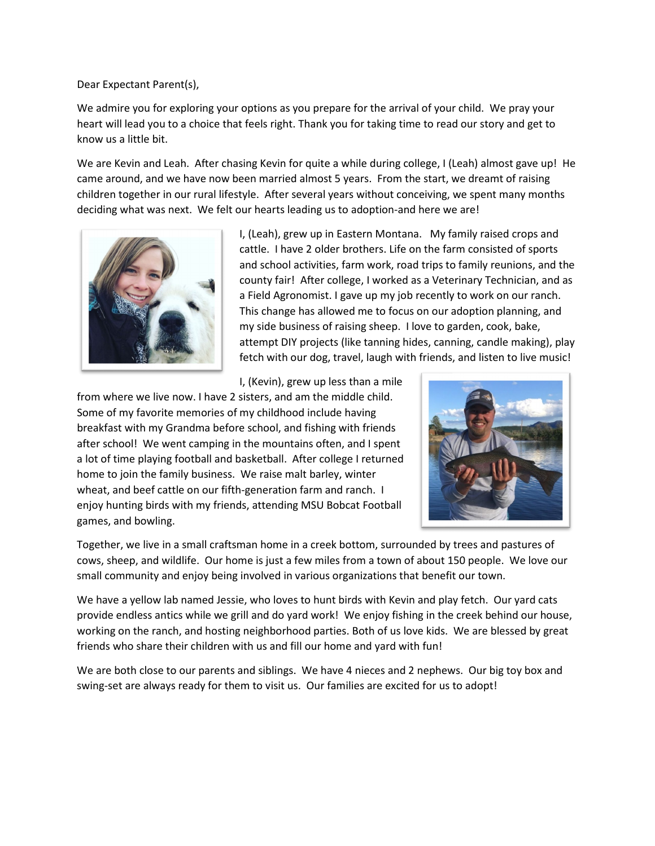Dear Expectant Parent(s),

We admire you for exploring your options as you prepare for the arrival of your child. We pray your heart will lead you to a choice that feels right. Thank you for taking time to read our story and get to know us a little bit.

We are Kevin and Leah. After chasing Kevin for quite a while during college, I (Leah) almost gave up! He came around, and we have now been married almost 5 years. From the start, we dreamt of raising children together in our rural lifestyle. After several years without conceiving, we spent many months deciding what was next. We felt our hearts leading us to adoption-and here we are!



I, (Leah), grew up in Eastern Montana. My family raised crops and cattle. I have 2 older brothers. Life on the farm consisted of sports and school activities, farm work, road trips to family reunions, and the county fair! After college, I worked as a Veterinary Technician, and as a Field Agronomist. I gave up my job recently to work on our ranch. This change has allowed me to focus on our adoption planning, and my side business of raising sheep. I love to garden, cook, bake, attempt DIY projects (like tanning hides, canning, candle making), play fetch with our dog, travel, laugh with friends, and listen to live music!

I, (Kevin), grew up less than a mile

from where we live now. I have 2 sisters, and am the middle child. Some of my favorite memories of my childhood include having breakfast with my Grandma before school, and fishing with friends after school! We went camping in the mountains often, and I spent a lot of time playing football and basketball. After college I returned home to join the family business. We raise malt barley, winter wheat, and beef cattle on our fifth-generation farm and ranch. I enjoy hunting birds with my friends, attending MSU Bobcat Football games, and bowling.



Together, we live in a small craftsman home in a creek bottom, surrounded by trees and pastures of cows, sheep, and wildlife. Our home is just a few miles from a town of about 150 people. We love our small community and enjoy being involved in various organizations that benefit our town.

We have a yellow lab named Jessie, who loves to hunt birds with Kevin and play fetch. Our yard cats provide endless antics while we grill and do yard work! We enjoy fishing in the creek behind our house, working on the ranch, and hosting neighborhood parties. Both of us love kids. We are blessed by great friends who share their children with us and fill our home and yard with fun!

We are both close to our parents and siblings. We have 4 nieces and 2 nephews. Our big toy box and swing-set are always ready for them to visit us. Our families are excited for us to adopt!